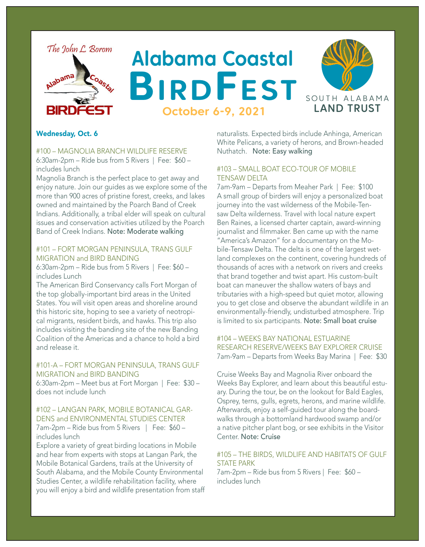

# **Alabama Coastal BirdFest October 6-9, 2021**



## Wednesday, Oct. 6

#100 – MAGNOLIA BRANCH WILDLIFE RESERVE 6:30am-2pm – Ride bus from 5 Rivers | Fee: \$60 – includes lunch

Magnolia Branch is the perfect place to get away and enjoy nature. Join our guides as we explore some of the more than 900 acres of pristine forest, creeks, and lakes owned and maintained by the Poarch Band of Creek Indians. Additionally, a tribal elder will speak on cultural issues and conservation activities utilized by the Poarch Band of Creek Indians. Note: Moderate walking

#### #101 – FORT MORGAN PENINSULA, TRANS GULF MIGRATION and BIRD BANDING

6:30am-2pm – Ride bus from 5 Rivers | Fee: \$60 – includes Lunch

The American Bird Conservancy calls Fort Morgan of the top globally-important bird areas in the United States. You will visit open areas and shoreline around this historic site, hoping to see a variety of neotropical migrants, resident birds, and hawks. This trip also includes visiting the banding site of the new Banding Coalition of the Americas and a chance to hold a bird and release it.

## #101-A – FORT MORGAN PENINSULA, TRANS GULF MIGRATION and BIRD BANDING

6:30am-2pm – Meet bus at Fort Morgan | Fee: \$30 – does not include lunch

## #102 – LANGAN PARK, MOBILE BOTANICAL GAR-DENS and ENVIRONMENTAL STUDIES CENTER 7am-2pm – Ride bus from 5 Rivers | Fee: \$60 – includes lunch

Explore a variety of great birding locations in Mobile and hear from experts with stops at Langan Park, the Mobile Botanical Gardens, trails at the University of South Alabama, and the Mobile County Environmental Studies Center, a wildlife rehabilitation facility, where you will enjoy a bird and wildlife presentation from staff naturalists. Expected birds include Anhinga, American White Pelicans, a variety of herons, and Brown-headed Nuthatch. Note: Easy walking

# #103 – SMALL BOAT ECO-TOUR OF MOBILE TENSAW DELTA

7am-9am – Departs from Meaher Park | Fee: \$100 A small group of birders will enjoy a personalized boat journey into the vast wilderness of the Mobile-Tensaw Delta wilderness. Travel with local nature expert Ben Raines, a licensed charter captain, award-winning journalist and filmmaker. Ben came up with the name "America's Amazon" for a documentary on the Mobile-Tensaw Delta. The delta is one of the largest wetland complexes on the continent, covering hundreds of thousands of acres with a network on rivers and creeks that brand together and twist apart. His custom-built boat can maneuver the shallow waters of bays and tributaries with a high-speed but quiet motor, allowing you to get close and observe the abundant wildlife in an environmentally-friendly, undisturbed atmosphere. Trip is limited to six participants. Note: Small boat cruise

## #104 – WEEKS BAY NATIONAL ESTUARINE RESEARCH RESERVE/WEEKS BAY EXPLORER CRUISE 7am-9am – Departs from Weeks Bay Marina | Fee: \$30

Cruise Weeks Bay and Magnolia River onboard the Weeks Bay Explorer, and learn about this beautiful estuary. During the tour, be on the lookout for Bald Eagles, Osprey, terns, gulls, egrets, herons, and marine wildlife. Afterwards, enjoy a self-guided tour along the boardwalks through a bottomland hardwood swamp and/or a native pitcher plant bog, or see exhibits in the Visitor Center. Note: Cruise

#### #105 – THE BIRDS, WILDLIFE AND HABITATS OF GULF STATE PARK

7am-2pm – Ride bus from 5 Rivers | Fee: \$60 – includes lunch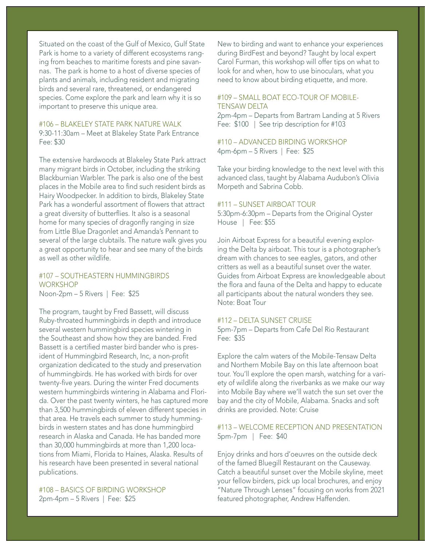Situated on the coast of the Gulf of Mexico, Gulf State Park is home to a variety of different ecosystems ranging from beaches to maritime forests and pine savannas. The park is home to a host of diverse species of plants and animals, including resident and migrating birds and several rare, threatened, or endangered species. Come explore the park and learn why it is so important to preserve this unique area.

## #106 – BLAKELEY STATE PARK NATURE WALK 9:30-11:30am – Meet at Blakeley State Park Entrance Fee: \$30

The extensive hardwoods at Blakeley State Park attract many migrant birds in October, including the striking Blackburnian Warbler. The park is also one of the best places in the Mobile area to find such resident birds as Hairy Woodpecker. In addition to birds, Blakeley State Park has a wonderful assortment of flowers that attract a great diversity of butterflies. It also is a seasonal home for many species of dragonfly ranging in size from Little Blue Dragonlet and Amanda's Pennant to several of the large clubtails. The nature walk gives you a great opportunity to hear and see many of the birds as well as other wildlife.

#107 – SOUTHEASTERN HUMMINGBIRDS **WORKSHOP** Noon-2pm – 5 Rivers | Fee: \$25

The program, taught by Fred Bassett, will discuss Ruby-throated hummingbirds in depth and introduce several western hummingbird species wintering in the Southeast and show how they are banded. Fred Bassett is a certified master bird bander who is president of Hummingbird Research, Inc, a non-profit organization dedicated to the study and preservation of hummingbirds. He has worked with birds for over twenty-five years. During the winter Fred documents western hummingbirds wintering in Alabama and Florida. Over the past twenty winters, he has captured more than 3,500 hummingbirds of eleven different species in that area. He travels each summer to study hummingbirds in western states and has done hummingbird research in Alaska and Canada. He has banded more than 30,000 hummingbirds at more than 1,200 locations from Miami, Florida to Haines, Alaska. Results of his research have been presented in several national publications.

#108 – BASICS OF BIRDING WORKSHOP 2pm-4pm – 5 Rivers | Fee: \$25

New to birding and want to enhance your experiences during BirdFest and beyond? Taught by local expert Carol Furman, this workshop will offer tips on what to look for and when, how to use binoculars, what you need to know about birding etiquette, and more.

#### #109 – SMALL BOAT ECO-TOUR OF MOBILE-TENSAW DELTA

2pm-4pm – Departs from Bartram Landing at 5 Rivers Fee: \$100 | See trip description for #103

#### #110 – ADVANCED BIRDING WORKSHOP 4pm-6pm – 5 Rivers | Fee: \$25

Take your birding knowledge to the next level with this advanced class, taught by Alabama Audubon's Olivia Morpeth and Sabrina Cobb.

#### #111 – SUNSET AIRBOAT TOUR

5:30pm-6:30pm – Departs from the Original Oyster House | Fee: \$55

Join Airboat Express for a beautiful evening exploring the Delta by airboat. This tour is a photographer's dream with chances to see eagles, gators, and other critters as well as a beautiful sunset over the water. Guides from Airboat Express are knowledgeable about the flora and fauna of the Delta and happy to educate all participants about the natural wonders they see. Note: Boat Tour

## #112 – DELTA SUNSET CRUISE

5pm-7pm – Departs from Cafe Del Rio Restaurant Fee: \$35

Explore the calm waters of the Mobile-Tensaw Delta and Northern Mobile Bay on this late afternoon boat tour. You'll explore the open marsh, watching for a variety of wildlife along the riverbanks as we make our way into Mobile Bay where we'll watch the sun set over the bay and the city of Mobile, Alabama. Snacks and soft drinks are provided. Note: Cruise

#### #113 – WELCOME RECEPTION AND PRESENTATION 5pm-7pm | Fee: \$40

Enjoy drinks and hors d'oeuvres on the outside deck of the famed Bluegill Restaurant on the Causeway. Catch a beautiful sunset over the Mobile skyline, meet your fellow birders, pick up local brochures, and enjoy "Nature Through Lenses" focusing on works from 2021 featured photographer, Andrew Haffenden.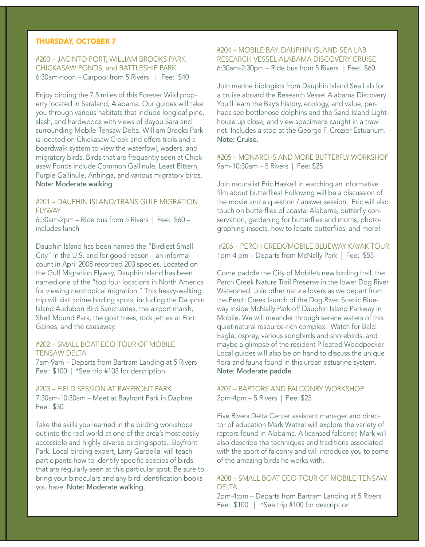#### THURSDAY, OCTOBER 7

## #200 – JACINTO PORT, WILLIAM BROOKS PARK, CHICKASAW PONDS, and BATTLESHIP PARK 6:30am-noon – Carpool from 5 Rivers | Fee: \$40

Enjoy birding the 7.5 miles of this Forever Wild property located in Saraland, Alabama. Our guides will take you through various habitats that include longleaf pine, slash, and hardwoods with views of Bayou Sara and surrounding Mobile-Tensaw Delta. William Brooks Park is located on Chickasaw Creek and offers trails and a boardwalk system to view the waterfowl, waders, and migratory birds. Birds that are frequently seen at Chickasaw Ponds include Common Gallinule, Least Bittern, Purple Gallinule, Anhinga, and various migratory birds. Note: Moderate walking

## #201 – DAUPHIN ISLAND/TRANS GULF MIGRATION **FIYWAY**

6:30am-2pm – Ride bus from 5 Rivers | Fee: \$60 – includes lunch

Dauphin Island has been named the "Birdiest Small City" in the U.S. and for good reason – an informal count in April 2008 recorded 203 species. Located on the Gulf Migration Flyway, Dauphin Island has been named one of the "top four locations in North America for viewing neotropical migration." This heavy-walking trip will visit prime birding spots, including the Dauphin Island Audubon Bird Sanctuaries, the airport marsh, Shell Mound Park, the goat trees, rock jetties at Fort Gaines, and the causeway.

#202 – SMALL BOAT ECO-TOUR OF MOBILE TENSAW DELTA

7am-9am – Departs from Bartram Landing at 5 Rivers Fee: \$100 | \*See trip #103 for description

#203 – FIELD SESSION AT BAYFRONT PARK 7:30am-10:30am – Meet at Bayfront Park in Daphne Fee: \$30

Take the skills you learned in the birding workshops out into the real world at one of the area's most easily accessible and highly diverse birding spots...Bayfront Park. Local birding expert, Larry Gardella, will teach participants how to identify specific species of birds that are regularly seen at this particular spot. Be sure to bring your binoculars and any bird identification books you have. Note: Moderate walking.

## #204 – MOBILE BAY, DAUPHIN ISLAND SEA LAB RESEARCH VESSEL ALABAMA DISCOVERY CRUISE 6:30am-2:30pm – Ride bus from 5 Rivers | Fee: \$60

Join marine biologists from Dauphin Island Sea Lab for a cruise aboard the Research Vessel Alabama Discovery. You'll learn the Bay's history, ecology, and value, perhaps see bottlenose dolphins and the Sand Island Lighthouse up close, and view specimens caught in a trawl net. Includes a stop at the George F. Crozier Estuarium. Note: Cruise.

#205 – MONARCHS AND MORE BUTTERFLY WORKSHOP 9am-10:30am – 5 Rivers | Fee: \$25

Join naturalist Eric Haskell in watching an informative film about butterflies! Following will be a discussion of the movie and a question / answer session. Eric will also touch on butterflies of coastal Alabama, butterfly conservation, gardening for butterflies and moths, photographing insects, how to locate butterflies, and more!

 #206 – PERCH CREEK/MOBILE BLUEWAY KAYAK TOUR 1pm-4 pm – Departs from McNally Park | Fee: \$55

Come paddle the City of Mobile's new birding trail, the Perch Creek Nature Trail Preserve in the lower Dog River Watershed. Join other nature lovers as we depart from the Perch Creek launch of the Dog River Scenic Blueway inside McNally Park off Dauphin Island Parkway in Mobile. We will meander through serene waters of this quiet natural resource-rich complex. Watch for Bald Eagle, osprey, various songbirds and shorebirds, and maybe a glimpse of the resident Pileated Woodpecker. Local guides will also be on hand to discuss the unique flora and fauna found in this urban estuarine system. Note: Moderate paddle

## #207 – RAPTORS AND FALCONRY WORKSHOP 2pm-4pm – 5 Rivers | Fee: \$25

Five Rivers Delta Center assistant manager and director of education Mark Wetzel will explore the variety of raptors found in Alabama. A licensed falconer, Mark will also describe the techniques and traditions associated with the sport of falconry and will introduce you to some of the amazing birds he works with.

#### #208 – SMALL BOAT ECO-TOUR OF MOBILE-TENSAW DELTA

2pm-4:pm – Departs from Bartram Landing at 5 Rivers Fee: \$100 | \*See trip #100 for description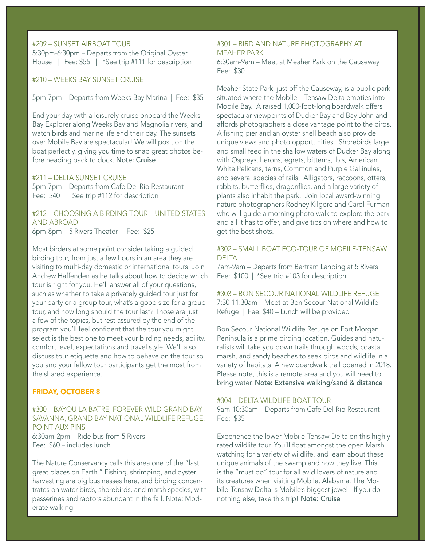## #209 – SUNSET AIRBOAT TOUR

5:30pm-6:30pm – Departs from the Original Oyster House | Fee: \$55 | \*See trip #111 for description

#210 – WEEKS BAY SUNSET CRUISE

5pm-7pm – Departs from Weeks Bay Marina | Fee: \$35

End your day with a leisurely cruise onboard the Weeks Bay Explorer along Weeks Bay and Magnolia rivers, and watch birds and marine life end their day. The sunsets over Mobile Bay are spectacular! We will position the boat perfectly, giving you time to snap great photos before heading back to dock. Note: Cruise

## #211 – DELTA SUNSET CRUISE

5pm-7pm – Departs from Cafe Del Rio Restaurant Fee: \$40 | See trip #112 for description

#212 – CHOOSING A BIRDING TOUR – UNITED STATES AND ABROAD 6pm-8pm – 5 Rivers Theater | Fee: \$25

Most birders at some point consider taking a guided birding tour, from just a few hours in an area they are visiting to multi-day domestic or international tours. Join Andrew Haffenden as he talks about how to decide which tour is right for you. He'll answer all of your questions, such as whether to take a privately guided tour just for your party or a group tour, what's a good size for a group tour, and how long should the tour last? Those are just a few of the topics, but rest assured by the end of the program you'll feel confident that the tour you might select is the best one to meet your birding needs, ability, comfort level, expectations and travel style. We'll also discuss tour etiquette and how to behave on the tour so you and your fellow tour participants get the most from the shared experience.

#### FRIDAY, OCTOBER 8

#300 – BAYOU LA BATRE, FOREVER WILD GRAND BAY SAVANNA, GRAND BAY NATIONAL WILDLIFE REFUGE, POINT AUX PINS 6:30am-2pm – Ride bus from 5 Rivers Fee: \$60 – includes lunch

The Nature Conservancy calls this area one of the "last great places on Earth." Fishing, shrimping, and oyster harvesting are big businesses here, and birding concentrates on water birds, shorebirds, and marsh species, with passerines and raptors abundant in the fall. Note: Moderate walking

### #301 – BIRD AND NATURE PHOTOGRAPHY AT MEAHER PARK

6:30am-9am – Meet at Meaher Park on the Causeway Fee: \$30

Meaher State Park, just off the Causeway, is a public park situated where the Mobile – Tensaw Delta empties into Mobile Bay. A raised 1,000-foot-long boardwalk offers spectacular viewpoints of Ducker Bay and Bay John and affords photographers a close vantage point to the birds. A fishing pier and an oyster shell beach also provide unique views and photo opportunities. Shorebirds large and small feed in the shallow waters of Ducker Bay along with Ospreys, herons, egrets, bitterns, ibis, American White Pelicans, terns, Common and Purple Gallinules, and several species of rails. Alligators, raccoons, otters, rabbits, butterflies, dragonflies, and a large variety of plants also inhabit the park. Join local award-winning nature photographers Rodney Kilgore and Carol Furman who will guide a morning photo walk to explore the park and all it has to offer, and give tips on where and how to get the best shots.

#### #302 – SMALL BOAT ECO-TOUR OF MOBILE-TENSAW **DELTA**

7am-9am – Departs from Bartram Landing at 5 Rivers Fee: \$100 | \*See trip #103 for description

#303 – BON SECOUR NATIONAL WILDLIFE REFUGE 7:30-11:30am – Meet at Bon Secour National Wildlife Refuge | Fee: \$40 – Lunch will be provided

Bon Secour National Wildlife Refuge on Fort Morgan Peninsula is a prime birding location. Guides and naturalists will take you down trails through woods, coastal marsh, and sandy beaches to seek birds and wildlife in a variety of habitats. A new boardwalk trail opened in 2018. Please note, this is a remote area and you will need to bring water. Note: Extensive walking/sand & distance

#### #304 – DELTA WILDLIFE BOAT TOUR

9am-10:30am – Departs from Cafe Del Rio Restaurant Fee: \$35

Experience the lower Mobile-Tensaw Delta on this highly rated wildlife tour. You'll float amongst the open Marsh watching for a variety of wildlife, and learn about these unique animals of the swamp and how they live. This is the "must do" tour for all avid lovers of nature and its creatures when visiting Mobile, Alabama. The Mobile-Tensaw Delta is Mobile's biggest jewel - If you do nothing else, take this trip! Note: Cruise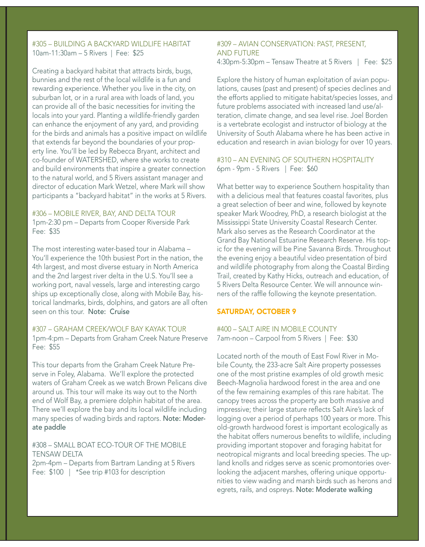## #305 – BUILDING A BACKYARD WILDLIFE HABITAT 10am-11:30am – 5 Rivers | Fee: \$25

Creating a backyard habitat that attracts birds, bugs, bunnies and the rest of the local wildlife is a fun and rewarding experience. Whether you live in the city, on suburban lot, or in a rural area with loads of land, you can provide all of the basic necessities for inviting the locals into your yard. Planting a wildlife-friendly garden can enhance the enjoyment of any yard, and providing for the birds and animals has a positive impact on wildlife that extends far beyond the boundaries of your property line. You'll be led by Rebecca Bryant, architect and co-founder of WATERSHED, where she works to create and build environments that inspire a greater connection to the natural world, and 5 Rivers assistant manager and director of education Mark Wetzel, where Mark will show participants a "backyard habitat" in the works at 5 Rivers.

#306 – MOBILE RIVER, BAY, AND DELTA TOUR 1pm-2:30 pm – Departs from Cooper Riverside Park Fee: \$35

The most interesting water-based tour in Alabama – You'll experience the 10th busiest Port in the nation, the 4th largest, and most diverse estuary in North America and the 2nd largest river delta in the U.S. You'll see a working port, naval vessels, large and interesting cargo ships up exceptionally close, along with Mobile Bay, historical landmarks, birds, dolphins, and gators are all often seen on this tour. Note: Cruise

#307 – GRAHAM CREEK/WOLF BAY KAYAK TOUR 1pm-4:pm – Departs from Graham Creek Nature Preserve Fee: \$55

This tour departs from the Graham Creek Nature Preserve in Foley, Alabama. We'll explore the protected waters of Graham Creek as we watch Brown Pelicans dive around us. This tour will make its way out to the North end of Wolf Bay, a premiere dolphin habitat of the area. There we'll explore the bay and its local wildlife including many species of wading birds and raptors. Note: Moderate paddle

#308 – SMALL BOAT ECO-TOUR OF THE MOBILE TENSAW DELTA 2pm-4pm – Departs from Bartram Landing at 5 Rivers

Fee: \$100 | \*See trip #103 for description

#### #309 – AVIAN CONSERVATION: PAST, PRESENT, AND FUTURE

4:30pm-5:30pm – Tensaw Theatre at 5 Rivers | Fee: \$25

Explore the history of human exploitation of avian populations, causes (past and present) of species declines and the efforts applied to mitigate habitat/species losses, and future problems associated with increased land use/alteration, climate change, and sea level rise. Joel Borden is a vertebrate ecologist and instructor of biology at the University of South Alabama where he has been active in education and research in avian biology for over 10 years.

#310 – AN EVENING OF SOUTHERN HOSPITALITY 6pm - 9pm - 5 Rivers | Fee: \$60

What better way to experience Southern hospitality than with a delicious meal that features coastal favorites, plus a great selection of beer and wine, followed by keynote speaker Mark Woodrey, PhD, a research biologist at the Mississippi State University Coastal Research Center. Mark also serves as the Research Coordinator at the Grand Bay National Estuarine Research Reserve. His topic for the evening will be Pine Savanna Birds. Throughout the evening enjoy a beautiful video presentation of bird and wildlife photography from along the Coastal Birding Trail, created by Kathy Hicks, outreach and education, of 5 Rivers Delta Resource Center. We will announce winners of the raffle following the keynote presentation.

#### SATURDAY, OCTOBER 9

#400 – SALT AIRE IN MOBILE COUNTY 7am-noon – Carpool from 5 Rivers | Fee: \$30

Located north of the mouth of East Fowl River in Mobile County, the 233-acre Salt Aire property possesses one of the most pristine examples of old growth mesic Beech-Magnolia hardwood forest in the area and one of the few remaining examples of this rare habitat. The canopy trees across the property are both massive and impressive; their large stature reflects Salt Aire's lack of logging over a period of perhaps 100 years or more. This old-growth hardwood forest is important ecologically as the habitat offers numerous benefits to wildlife, including providing important stopover and foraging habitat for neotropical migrants and local breeding species. The upland knolls and ridges serve as scenic promontories overlooking the adjacent marshes, offering unique opportunities to view wading and marsh birds such as herons and egrets, rails, and ospreys. Note: Moderate walking